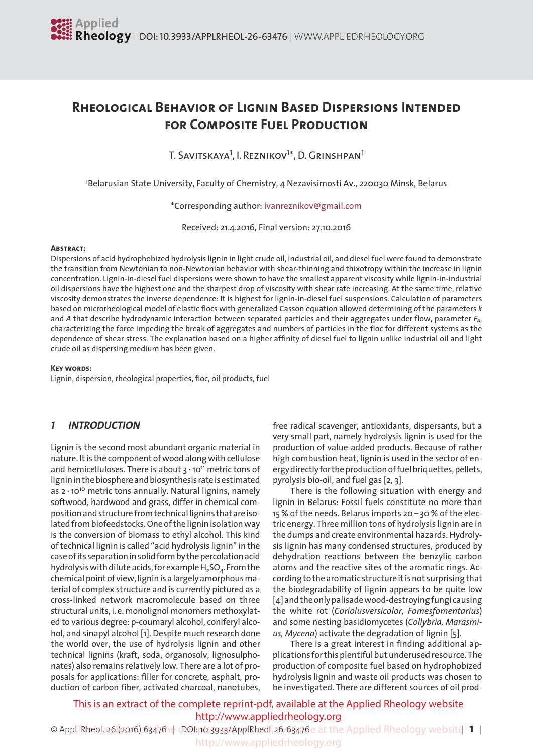# **Rheological Behavior of Lignin Based Dispersions Intended for Composite Fuel Production**

T. Savitskaya<sup>1</sup>, I. Reznikov<sup>1</sup>\*, D. Grinshpan<sup>1</sup>

1 Belarusian State University, Faculty of Chemistry, 4 Nezavisimosti Av., 220030 Minsk, Belarus

\*Corresponding author: [ivanreznikov@gmail.com](mailto:ivanreznikov@gmail.com)

Received: 21.4.2016, Final version: 27.10.2016

#### **Abstract:**

Dispersions of acid hydrophobized hydrolysis lignin in light crude oil, industrial oil, and diesel fuel were found to demonstrate the transition from Newtonian to non-Newtonian behavior with shear-thinning and thixotropy within the increase in lignin concentration. Lignin-in-diesel fuel dispersions were shown to have the smallest apparent viscosity while lignin-in-industrial oil dispersions have the highest one and the sharpest drop of viscosity with shear rate increasing. At the same time, relative viscosity demonstrates the inverse dependence: It is highest for lignin-in-diesel fuel suspensions. Calculation of parameters based on microrheological model of elastic flocs with generalized Casson equation allowed determining of the parameters *k* and *A* that describe hydrodynamic interaction between separated particles and their aggregates under flow, parameter  $F_{A}$ , characterizing the force impeding the break of aggregates and numbers of particles in the floc for different systems as the dependence of shear stress. The explanation based on a higher affinity of diesel fuel to lignin unlike industrial oil and light crude oil as dispersing medium has been given.

#### **Key words:**

Lignin, dispersion, rheological properties, floc, oil products, fuel

## *1 INTRODUCTION*

Lignin is the second most abundant organic material in nature. It is the component of wood along with cellulose and hemicelluloses. There is about 3∙1011 metric tons of lignin in the biosphere and biosynthesis rate is estimated as 2∙1010 metric tons annually. Natural lignins, namely softwood, hardwood and grass, differ in chemical composition and structure from technical lignins that are isolated from biofeedstocks. One of the lignin isolation way is the conversion of biomass to ethyl alcohol. This kind oftechnical lignin is called "acid hydrolysis lignin" in the case of its separation in solid form by the percolation acid hydrolysis with dilute acids, for example  $H_2SO_4$ . From the chemical point of view, lignin is a largely amorphous material of complex structure and is currently pictured as a cross-linked network macromolecule based on three structural units, i. e. monolignol monomers methoxylated to various degree: p-coumaryl alcohol, coniferyl alcohol, and sinapyl alcohol [1]. Despite much research done the world over, the use of hydrolysis lignin and other technical lignins (kraft, soda, organosolv, lignosulphonates) also remains relatively low. There are a lot of proposals for applications: filler for concrete, asphalt, production of carbon fiber, activated charcoal, nanotubes,

free radical scavenger, antioxidants, dispersants, but a very small part, namely hydrolysis lignin is used for the production of value-added products. Because of rather high combustion heat, lignin is used in the sector of energy directly for the production of fuel briquettes, pellets, pyrolysis bio-oil, and fuel gas [2, 3].

 There is the following situation with energy and lignin in Belarus: Fossil fuels constitute no more than 15% of the needs. Belarus imports 20 – 30% of the electric energy. Three million tons of hydrolysis lignin are in the dumps and create environmental hazards. Hydrolysis lignin has many condensed structures, produced by dehydration reactions between the benzylic carbon atoms and the reactive sites of the aromatic rings. Accordingtothearomatic structureitisnot surprisingthat the biodegradability of lignin appears to be quite low [4] and the only palisade wood-destroying fungi causing the white rot (*Coriolusversicolor, Fomesfomentarius*) and some nesting basidiomycetes (*Collybria, Marasmius, Mycena*) activate the degradation of lignin [5].

 There is a great interest in finding additional applications for this plentiful but underused resource. The production of composite fuel based on hydrophobized hydrolysis lignin and waste oil products was chosen to be investigated. There are different sources of oil prod-

This is an extract of the complete reprint-pdf, available at the Applied Rheology website http://www.appliedrheology.org

© Appl. Rheol. 26 (2016) 6347614 DOI: 10.3933/ApplRheol. 26-63476e at the Applied Rheology website 1 http://www.appliedrheology.org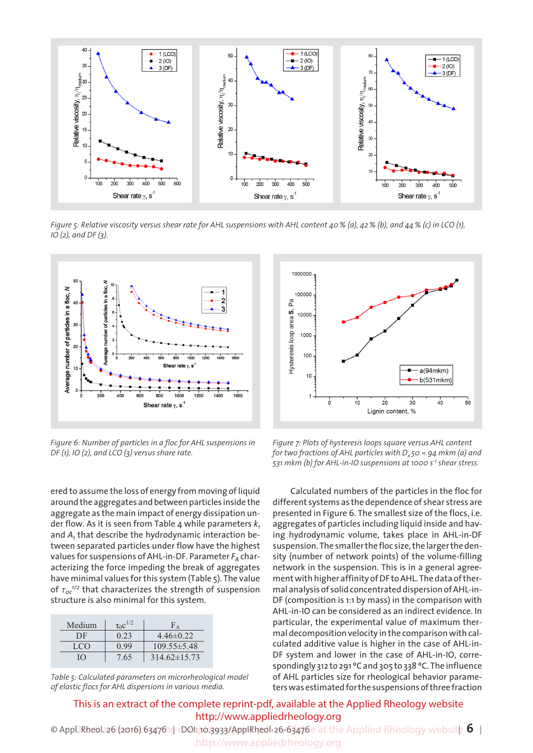

Figure 5: Relative viscosity versus shear rate for AHL suspensions with AHL content 40 % (a), 42 % (b), and 44 % (c) in LCO (1), *IO (2), and DF (3).*



*Figure 6: Number of particles in a floc for AHL suspensions in DF (1), IO (2), and LCO (3) versus share rate.*



| Medium | $\tau_0 c^{1/2}$ |                    |
|--------|------------------|--------------------|
| DF     | 0.23             | $4.46\pm0.22$      |
| LCO    | N 99             | $109.55 \pm 5.48$  |
| IО     | 7.65             | $314.62 \pm 15.73$ |

*Table 5: Calculated parameters on microrheological model of elastic flocs for AHL dispersions in various media.*



*Figure 7: Plots of hysteresis loops square versus AHL content for two fractions of AHL particles with Dx 50 = 94 mkm (a) and 531 mkm (b) for AHL-in-IO suspensions at 1000 s-1 shear stress.*

 Calculated numbers of the particles in the floc for different systems as the dependence of shear stress are presented in Figure 6. The smallest size of the flocs, i.e. aggregates of particles including liquid inside and having hydrodynamic volume, takes place in AHL-in-DF suspension. The smaller the floc size, the larger the density (number of network points) of the volume-filling network in the suspension. This is in a general agreement with higher affinity of DF to AHL. The data of thermal analysis of solid concentrated dispersion of AHL-in-DF (composition is 1:1 by mass) in the comparison with AHL-in-IO can be considered as an indirect evidence. In particular, the experimental value of maximum thermal decomposition velocity in the comparison with calculated additive value is higher in the case of AHL-in-DF system and lower in the case of AHL-in-IO, correspondingly 312 to 291 °C and 305 to 338 °C. The influence of AHL particles size for rheological behavior parameterswasestimatedforthesuspensionsofthreefraction

This is an extract of the complete reprint-pdf, available at the Applied Rheology website http://www.appliedrheology.org

© Appl. Rheol. 26 (2016) 6347614 *D*OI: 10.3933/ApplRheol-26-63476e at the Applied Rheology website **6** | http://www.appliedrheology.org